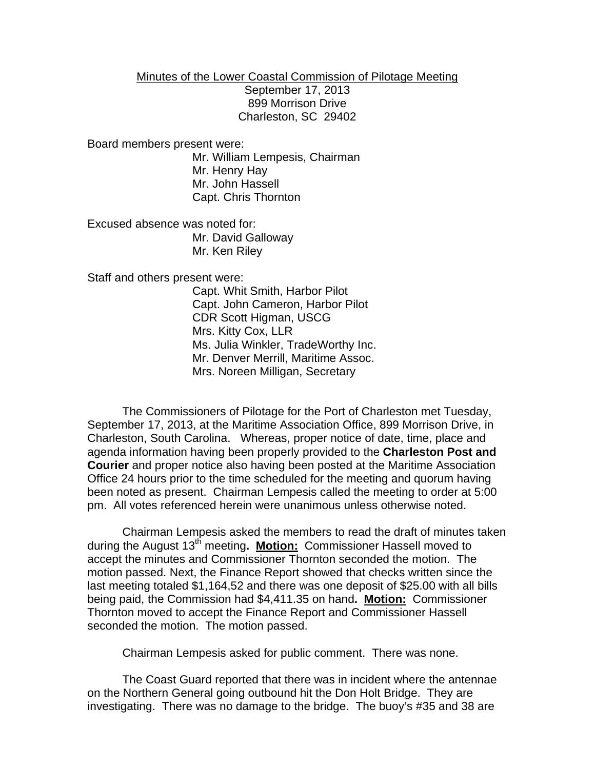## Minutes of the Lower Coastal Commission of Pilotage Meeting

September 17, 2013 899 Morrison Drive Charleston, SC 29402

Board members present were:

Mr. William Lempesis, Chairman Mr. Henry Hay Mr. John Hassell Capt. Chris Thornton

Excused absence was noted for: Mr. David Galloway Mr. Ken Riley

Staff and others present were:

Capt. Whit Smith, Harbor Pilot Capt. John Cameron, Harbor Pilot CDR Scott Higman, USCG Mrs. Kitty Cox, LLR Ms. Julia Winkler, TradeWorthy Inc. Mr. Denver Merrill, Maritime Assoc. Mrs. Noreen Milligan, Secretary

The Commissioners of Pilotage for the Port of Charleston met Tuesday, September 17, 2013, at the Maritime Association Office, 899 Morrison Drive, in Charleston, South Carolina. Whereas, proper notice of date, time, place and agenda information having been properly provided to the **Charleston Post and Courier** and proper notice also having been posted at the Maritime Association Office 24 hours prior to the time scheduled for the meeting and quorum having been noted as present. Chairman Lempesis called the meeting to order at 5:00 pm. All votes referenced herein were unanimous unless otherwise noted.

Chairman Lempesis asked the members to read the draft of minutes taken during the August 13<sup>th</sup> meeting. Motion: Commissioner Hassell moved to accept the minutes and Commissioner Thornton seconded the motion. The motion passed. Next, the Finance Report showed that checks written since the last meeting totaled \$1,164,52 and there was one deposit of \$25.00 with all bills being paid, the Commission had \$4,411.35 on hand**. Motion:** Commissioner Thornton moved to accept the Finance Report and Commissioner Hassell seconded the motion. The motion passed.

Chairman Lempesis asked for public comment. There was none.

The Coast Guard reported that there was in incident where the antennae on the Northern General going outbound hit the Don Holt Bridge. They are investigating. There was no damage to the bridge. The buoy's #35 and 38 are